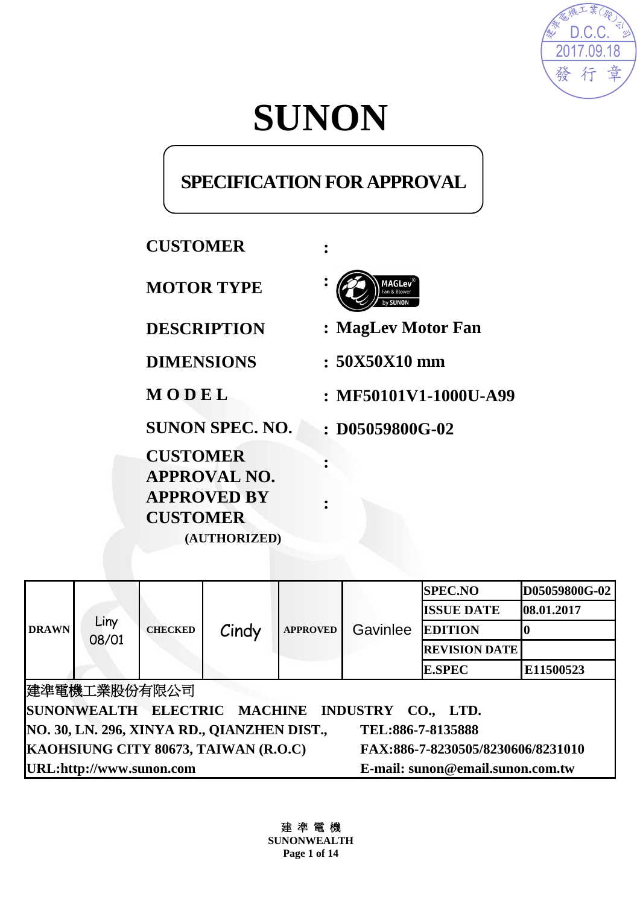

# **SUNON**

# **SPECIFICATION FOR APPROVAL**

# **CUSTOMER :**

**MOTOR TYPE :**

**CUSTOMER APPROVAL NO. APPROVED BY CUSTOMER (AUTHORIZED)**



**DESCRIPTION : MagLev Motor Fan**

**DIMENSIONS : 50X50X10 mm**

**M O D E L : MF50101V1-1000U-A99**

**SUNON SPEC. NO. : D05059800G-02**

|                                                                           |               |                |       |                 |          | <b>SPEC.NO</b>       | D05059800G-02 |
|---------------------------------------------------------------------------|---------------|----------------|-------|-----------------|----------|----------------------|---------------|
|                                                                           |               |                |       |                 |          | <b>ISSUE DATE</b>    | 08.01.2017    |
| <b>DRAWN</b>                                                              | Liny<br>08/01 | <b>CHECKED</b> | Cindy | <b>APPROVED</b> | Gavinlee | <b>EDITION</b>       |               |
|                                                                           |               |                |       |                 |          | <b>REVISION DATE</b> |               |
|                                                                           |               |                |       |                 |          | <b>E.SPEC</b>        | E11500523     |
| 建準電機工業股份有限公司                                                              |               |                |       |                 |          |                      |               |
| SUNONWEALTH ELECTRIC MACHINE INDUSTRY CO., LTD.                           |               |                |       |                 |          |                      |               |
| NO. 30, LN. 296, XINYA RD., QIANZHEN DIST.,<br>TEL:886-7-8135888          |               |                |       |                 |          |                      |               |
| KAOHSIUNG CITY 80673, TAIWAN (R.O.C)<br>FAX:886-7-8230505/8230606/8231010 |               |                |       |                 |          |                      |               |
| URL:http://www.sunon.com<br>E-mail: sunon@email.sunon.com.tw              |               |                |       |                 |          |                      |               |

**:**

**:**

建 準 電 機 **SUNONWEALTH Page 1 of 14**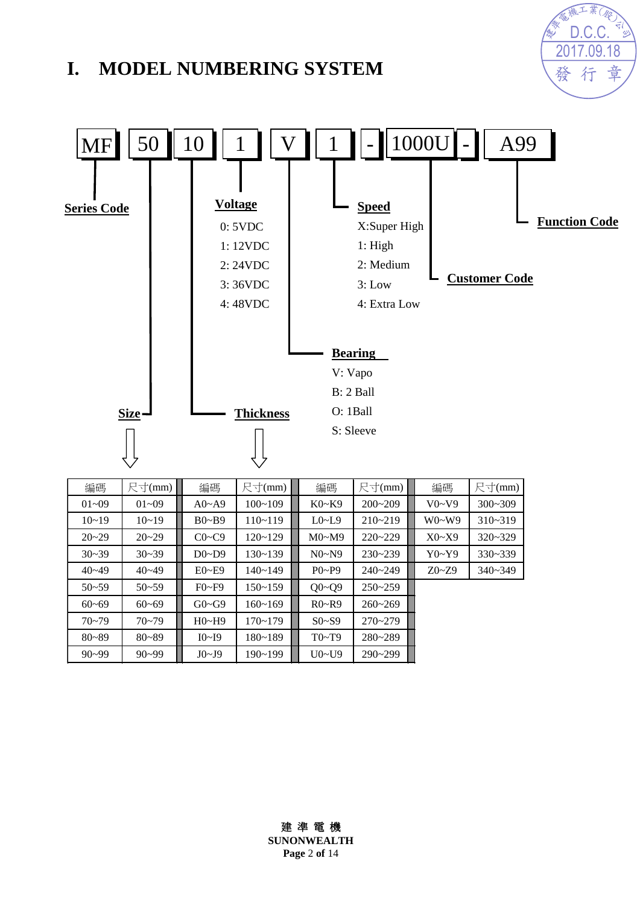# **I. MODEL NUMBERING SYSTEM**





| 編碼        | 尺寸(mm)    | 編碼           | 尺寸(mm)      | 編碼                     | 尺寸(mm)      | 編碼        | 尺寸(mm)      |
|-----------|-----------|--------------|-------------|------------------------|-------------|-----------|-------------|
| $01 - 09$ | $01 - 09$ | $A0 - A9$    | $100 - 109$ | $K0-K9$                | $200 - 209$ | V0~V9     | $300 - 309$ |
| $10 - 19$ | $10 - 19$ | $B0 - B9$    | $110 - 119$ | $L0\nightharpoonup L9$ | $210 - 219$ | $W0-W9$   | $310 - 319$ |
| $20 - 29$ | $20 - 29$ | $C0 \sim C9$ | $120 - 129$ | M0~M9                  | $220 - 229$ | X0~X9     | $320 - 329$ |
| $30 - 39$ | $30 - 39$ | $D0\neg D9$  | $130 - 139$ | N0~N9                  | $230 - 239$ | Y0~Y9     | $330 - 339$ |
| $40 - 49$ | $40 - 49$ | $E0 - E9$    | $140 - 149$ | $P_0 \sim P_9$         | $240 - 249$ | $Z0 - Z9$ | $340 - 349$ |
| $50 - 59$ | $50 - 59$ | $F0-F9$      | $150 - 159$ | $Q0 - Q9$              | $250 - 259$ |           |             |
| $60 - 69$ | $60 - 69$ | $G0 \sim G9$ | $160 - 169$ | $R0-P9$                | $260 - 269$ |           |             |
| $70 - 79$ | $70 - 79$ | H0~H9        | $170 - 179$ | $S0- S9$               | $270 - 279$ |           |             |
| $80 - 89$ | $80 - 89$ | I0~I9        | $180 - 189$ | T0~T9                  | 280~289     |           |             |
| $90 - 99$ | $90 - 99$ | J0~J9        | $190 - 199$ | $U0$ ~ $U9$            | 290~299     |           |             |

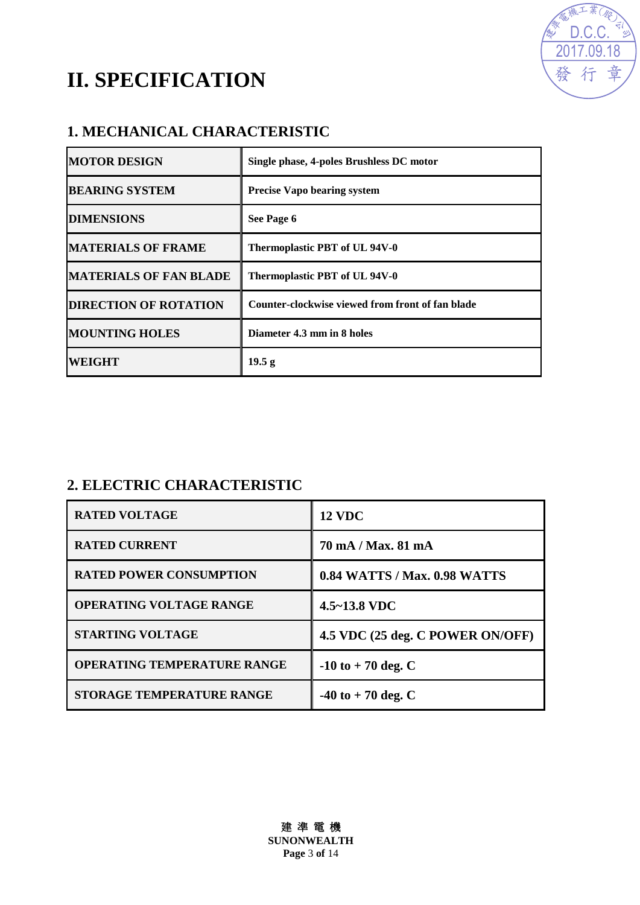



### **1. MECHANICAL CHARACTERISTIC**

| <b>MOTOR DESIGN</b>           | Single phase, 4-poles Brushless DC motor         |
|-------------------------------|--------------------------------------------------|
| <b>BEARING SYSTEM</b>         | <b>Precise Vapo bearing system</b>               |
| <b>DIMENSIONS</b>             | See Page 6                                       |
| <b>MATERIALS OF FRAME</b>     | Thermoplastic PBT of UL 94V-0                    |
| <b>MATERIALS OF FAN BLADE</b> | Thermoplastic PBT of UL 94V-0                    |
| <b>DIRECTION OF ROTATION</b>  | Counter-clockwise viewed from front of fan blade |
| <b>MOUNTING HOLES</b>         | Diameter 4.3 mm in 8 holes                       |
| <b>WEIGHT</b>                 | 19.5 <sub>g</sub>                                |

### **2. ELECTRIC CHARACTERISTIC**

| <b>RATED VOLTAGE</b>               | <b>12 VDC</b>                       |
|------------------------------------|-------------------------------------|
| <b>RATED CURRENT</b>               | 70 mA / Max, 81 mA                  |
| <b>RATED POWER CONSUMPTION</b>     | <b>0.84 WATTS / Max. 0.98 WATTS</b> |
| <b>OPERATING VOLTAGE RANGE</b>     | $4.5 - 13.8$ VDC                    |
| <b>STARTING VOLTAGE</b>            | 4.5 VDC (25 deg. C POWER ON/OFF)    |
| <b>OPERATING TEMPERATURE RANGE</b> | $-10$ to $+70$ deg. C               |
| <b>STORAGE TEMPERATURE RANGE</b>   | $-40$ to $+70$ deg. C               |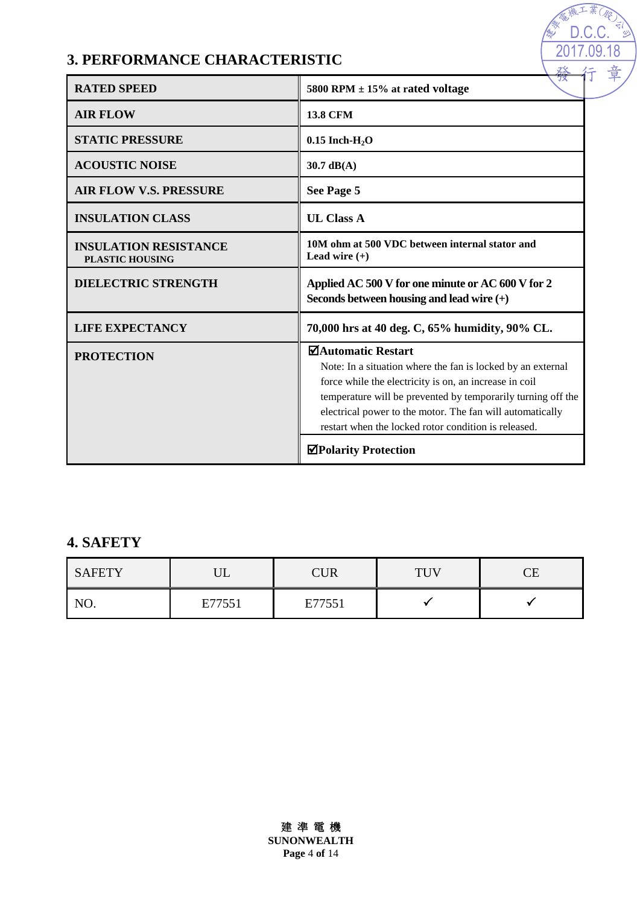## **3. PERFORMANCE CHARACTERISTIC**

| <b>RATED SPEED</b>                                     | 78<br>5800 RPM $\pm$ 15% at rated voltage                                                                                                                                                                                                                                                                                        |
|--------------------------------------------------------|----------------------------------------------------------------------------------------------------------------------------------------------------------------------------------------------------------------------------------------------------------------------------------------------------------------------------------|
| <b>AIR FLOW</b>                                        | <b>13.8 CFM</b>                                                                                                                                                                                                                                                                                                                  |
| <b>STATIC PRESSURE</b>                                 | $0.15$ Inch-H <sub>2</sub> O                                                                                                                                                                                                                                                                                                     |
| <b>ACOUSTIC NOISE</b>                                  | $30.7$ dB(A)                                                                                                                                                                                                                                                                                                                     |
| <b>AIR FLOW V.S. PRESSURE</b>                          | See Page 5                                                                                                                                                                                                                                                                                                                       |
| <b>INSULATION CLASS</b>                                | <b>UL Class A</b>                                                                                                                                                                                                                                                                                                                |
| <b>INSULATION RESISTANCE</b><br><b>PLASTIC HOUSING</b> | 10M ohm at 500 VDC between internal stator and<br>Lead wire $(+)$                                                                                                                                                                                                                                                                |
| <b>DIELECTRIC STRENGTH</b>                             | Applied AC 500 V for one minute or AC 600 V for 2<br>Seconds between housing and lead wire $(+)$                                                                                                                                                                                                                                 |
|                                                        |                                                                                                                                                                                                                                                                                                                                  |
| <b>LIFE EXPECTANCY</b>                                 | 70,000 hrs at 40 deg. C, 65% humidity, 90% CL.                                                                                                                                                                                                                                                                                   |
| <b>PROTECTION</b>                                      | ⊠Automatic Restart<br>Note: In a situation where the fan is locked by an external<br>force while the electricity is on, an increase in coil<br>temperature will be prevented by temporarily turning off the<br>electrical power to the motor. The fan will automatically<br>restart when the locked rotor condition is released. |

2017.09.18 <u>D.C.C.</u>

### **4. SAFETY**

| <b>SAFETY</b> | <b>TT</b><br>◡◡ |        | TUV | CЕ |  |
|---------------|-----------------|--------|-----|----|--|
| NO.           | E77551          | E77551 |     |    |  |

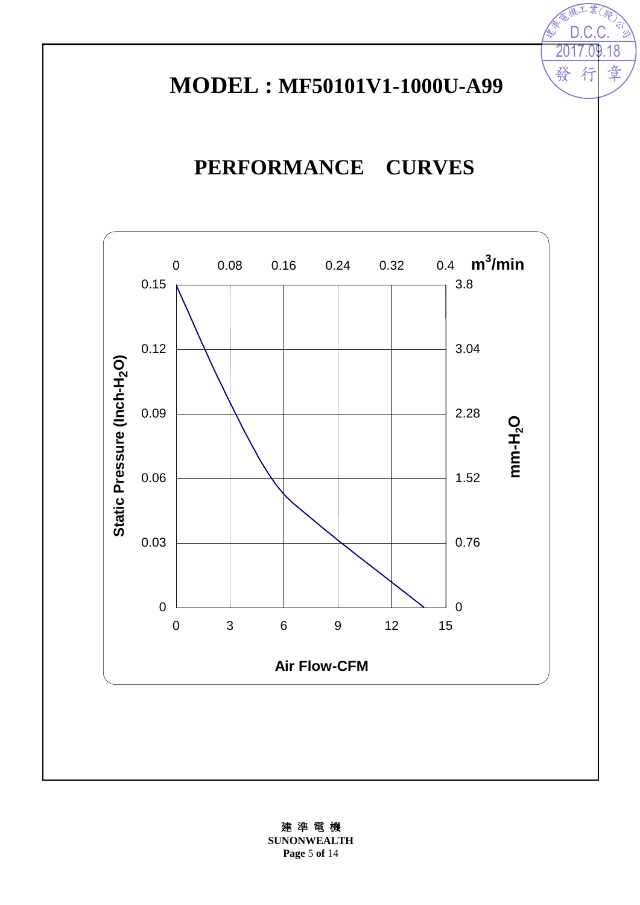# **MODEL : MF50101V1-1000U-A99**

18

章

<u>D.C.C.</u>

行

發

# **PERFORMANCE CURVES**



建 準 電 機 **SUNONWEALTH Page** 5 **of** 14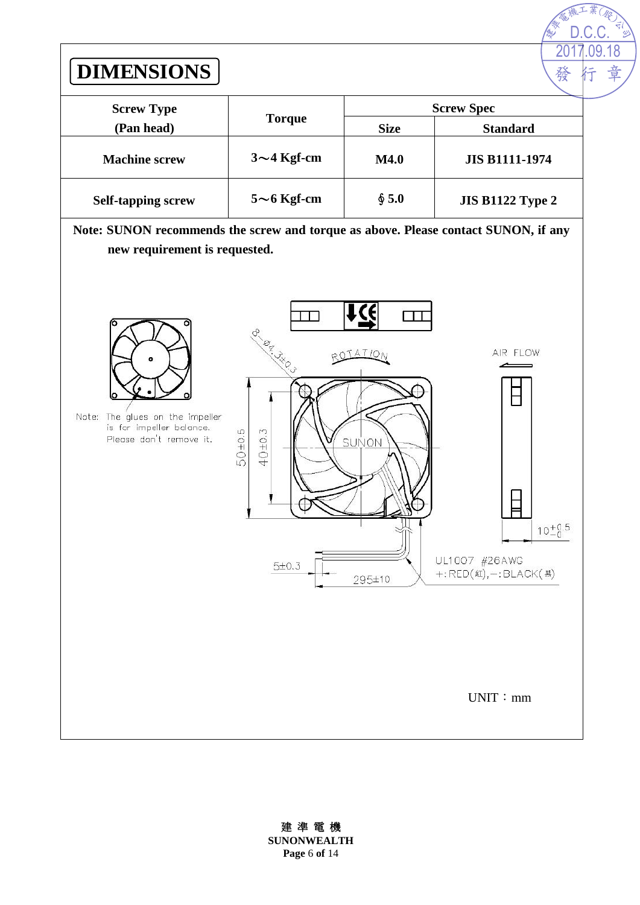

建 準 電 機 **SUNONWEALTH**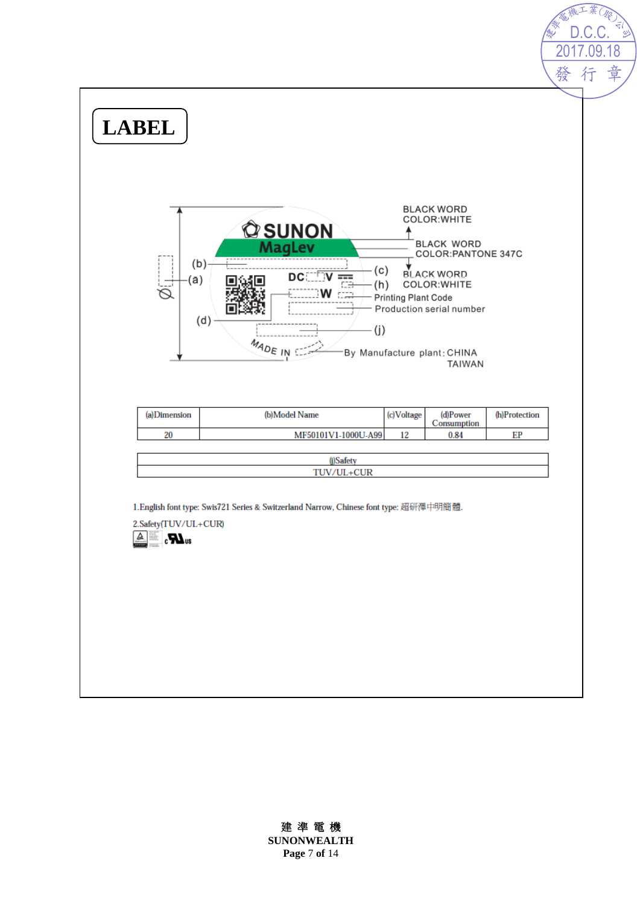

#### 建 準 電 機

**SUNONWEALTH Page** 7 **of** 14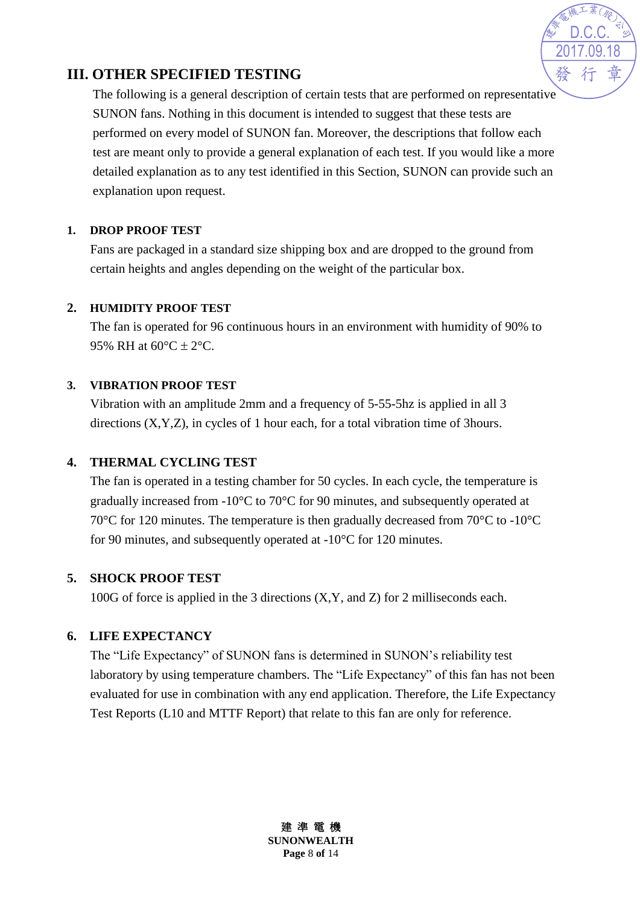

#### **III. OTHER SPECIFIED TESTING**

The following is a general description of certain tests that are performed on representative SUNON fans. Nothing in this document is intended to suggest that these tests are performed on every model of SUNON fan. Moreover, the descriptions that follow each test are meant only to provide a general explanation of each test. If you would like a more detailed explanation as to any test identified in this Section, SUNON can provide such an explanation upon request.

#### **1. DROP PROOF TEST**

Fans are packaged in a standard size shipping box and are dropped to the ground from certain heights and angles depending on the weight of the particular box.

#### **2. HUMIDITY PROOF TEST**

The fan is operated for 96 continuous hours in an environment with humidity of 90% to 95% RH at  $60^{\circ}C \pm 2^{\circ}C$ .

#### **3. VIBRATION PROOF TEST**

Vibration with an amplitude 2mm and a frequency of 5-55-5hz is applied in all 3 directions (X,Y,Z), in cycles of 1 hour each, for a total vibration time of 3hours.

#### **4. THERMAL CYCLING TEST**

The fan is operated in a testing chamber for 50 cycles. In each cycle, the temperature is gradually increased from -10°C to 70°C for 90 minutes, and subsequently operated at 70°C for 120 minutes. The temperature is then gradually decreased from 70°C to -10°C for 90 minutes, and subsequently operated at -10°C for 120 minutes.

#### **5. SHOCK PROOF TEST**

100G of force is applied in the 3 directions (X,Y, and Z) for 2 milliseconds each.

#### **6. LIFE EXPECTANCY**

The "Life Expectancy" of SUNON fans is determined in SUNON's reliability test laboratory by using temperature chambers. The "Life Expectancy" of this fan has not been evaluated for use in combination with any end application. Therefore, the Life Expectancy Test Reports (L10 and MTTF Report) that relate to this fan are only for reference.

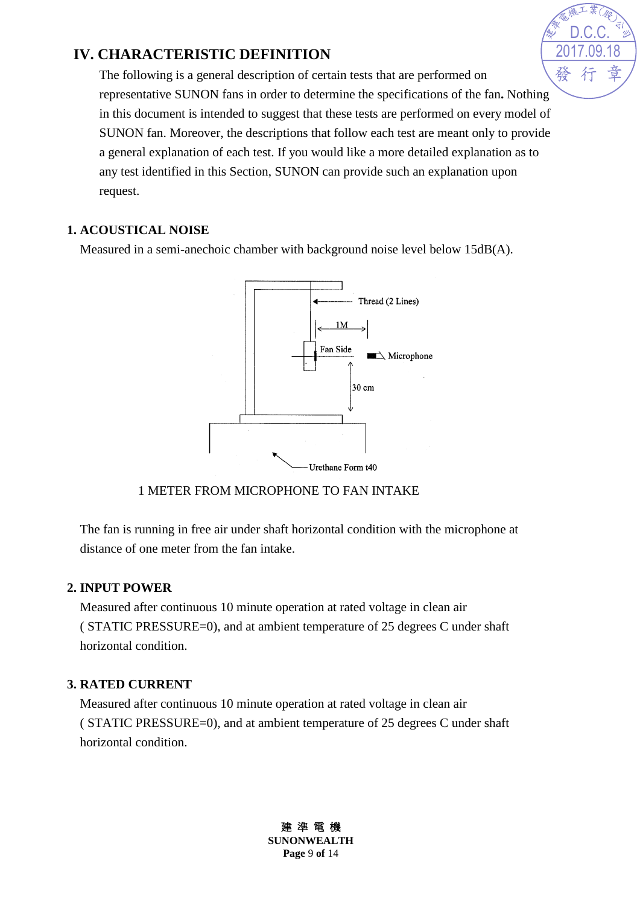### **IV. CHARACTERISTIC DEFINITION**

The following is a general description of certain tests that are performed on representative SUNON fans in order to determine the specifications of the fan**.** Nothing in this document is intended to suggest that these tests are performed on every model of SUNON fan. Moreover, the descriptions that follow each test are meant only to provide a general explanation of each test. If you would like a more detailed explanation as to any test identified in this Section, SUNON can provide such an explanation upon request.

#### **1. ACOUSTICAL NOISE**

Measured in a semi-anechoic chamber with background noise level below 15dB(A).



#### 1 METER FROM MICROPHONE TO FAN INTAKE

The fan is running in free air under shaft horizontal condition with the microphone at distance of one meter from the fan intake.

#### **2. INPUT POWER**

Measured after continuous 10 minute operation at rated voltage in clean air ( STATIC PRESSURE=0), and at ambient temperature of 25 degrees C under shaft horizontal condition.

#### **3. RATED CURRENT**

Measured after continuous 10 minute operation at rated voltage in clean air ( STATIC PRESSURE=0), and at ambient temperature of 25 degrees C under shaft horizontal condition.



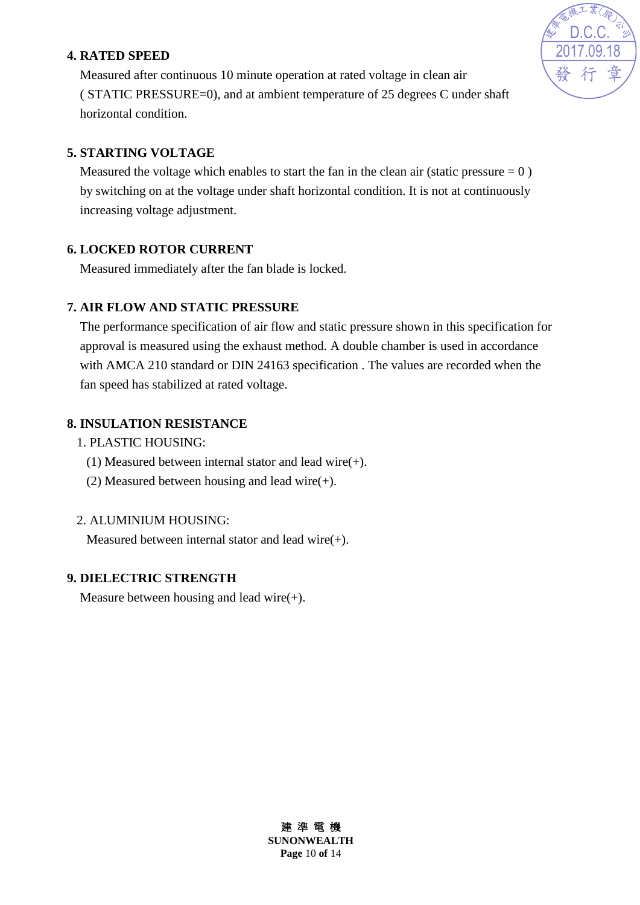#### **4. RATED SPEED**



Measured after continuous 10 minute operation at rated voltage in clean air ( STATIC PRESSURE=0), and at ambient temperature of 25 degrees C under shaft horizontal condition.

#### **5. STARTING VOLTAGE**

Measured the voltage which enables to start the fan in the clean air (static pressure  $= 0$ ) by switching on at the voltage under shaft horizontal condition. It is not at continuously increasing voltage adjustment.

#### **6. LOCKED ROTOR CURRENT**

Measured immediately after the fan blade is locked.

#### **7. AIR FLOW AND STATIC PRESSURE**

The performance specification of air flow and static pressure shown in this specification for approval is measured using the exhaust method. A double chamber is used in accordance with AMCA 210 standard or DIN 24163 specification . The values are recorded when the fan speed has stabilized at rated voltage.

#### **8. INSULATION RESISTANCE**

- 1. PLASTIC HOUSING:
	- (1) Measured between internal stator and lead wire(+).
	- (2) Measured between housing and lead wire(+).

#### 2. ALUMINIUM HOUSING:

Measured between internal stator and lead wire(+).

#### **9. DIELECTRIC STRENGTH**

Measure between housing and lead wire $(+)$ .

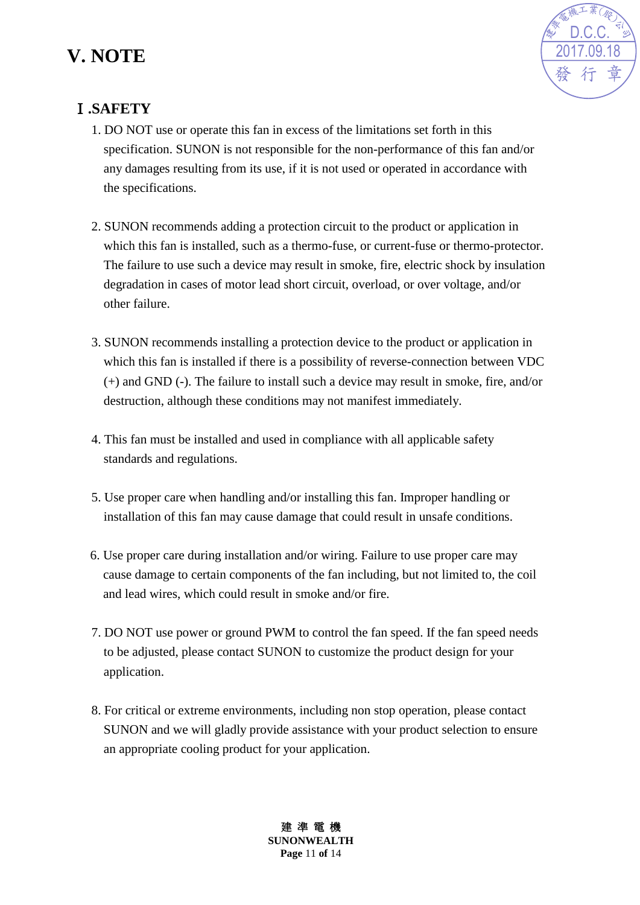# **V. NOTE**



### Ⅰ**.SAFETY**

- 1. DO NOT use or operate this fan in excess of the limitations set forth in this specification. SUNON is not responsible for the non-performance of this fan and/or any damages resulting from its use, if it is not used or operated in accordance with the specifications.
- 2. SUNON recommends adding a protection circuit to the product or application in which this fan is installed, such as a thermo-fuse, or current-fuse or thermo-protector. The failure to use such a device may result in smoke, fire, electric shock by insulation degradation in cases of motor lead short circuit, overload, or over voltage, and/or other failure.
- 3. SUNON recommends installing a protection device to the product or application in which this fan is installed if there is a possibility of reverse-connection between VDC (+) and GND (-). The failure to install such a device may result in smoke, fire, and/or destruction, although these conditions may not manifest immediately.
- 4. This fan must be installed and used in compliance with all applicable safety standards and regulations.
- 5. Use proper care when handling and/or installing this fan. Improper handling or installation of this fan may cause damage that could result in unsafe conditions.
- 6. Use proper care during installation and/or wiring. Failure to use proper care may cause damage to certain components of the fan including, but not limited to, the coil and lead wires, which could result in smoke and/or fire.
- 7. DO NOT use power or ground PWM to control the fan speed. If the fan speed needs to be adjusted, please contact SUNON to customize the product design for your application.
- 8. For critical or extreme environments, including non stop operation, please contact SUNON and we will gladly provide assistance with your product selection to ensure an appropriate cooling product for your application.

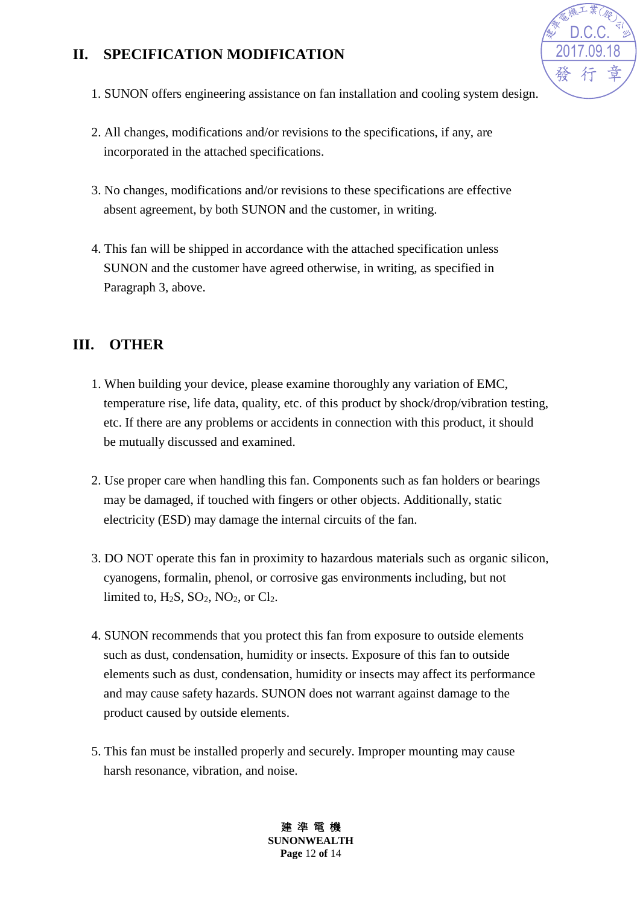### **II. SPECIFICATION MODIFICATION**



- 1. SUNON offers engineering assistance on fan installation and cooling system design.
- 2. All changes, modifications and/or revisions to the specifications, if any, are incorporated in the attached specifications.
- 3. No changes, modifications and/or revisions to these specifications are effective absent agreement, by both SUNON and the customer, in writing.
- 4. This fan will be shipped in accordance with the attached specification unless SUNON and the customer have agreed otherwise, in writing, as specified in Paragraph 3, above.

#### **III. OTHER**

- 1. When building your device, please examine thoroughly any variation of EMC, temperature rise, life data, quality, etc. of this product by shock/drop/vibration testing, etc. If there are any problems or accidents in connection with this product, it should be mutually discussed and examined.
- 2. Use proper care when handling this fan. Components such as fan holders or bearings may be damaged, if touched with fingers or other objects. Additionally, static electricity (ESD) may damage the internal circuits of the fan.
- 3. DO NOT operate this fan in proximity to hazardous materials such as organic silicon, cyanogens, formalin, phenol, or corrosive gas environments including, but not limited to,  $H_2S$ ,  $SO_2$ ,  $NO_2$ , or  $Cl_2$ .
- 4. SUNON recommends that you protect this fan from exposure to outside elements such as dust, condensation, humidity or insects. Exposure of this fan to outside elements such as dust, condensation, humidity or insects may affect its performance and may cause safety hazards. SUNON does not warrant against damage to the product caused by outside elements.
- 5. This fan must be installed properly and securely. Improper mounting may cause harsh resonance, vibration, and noise.

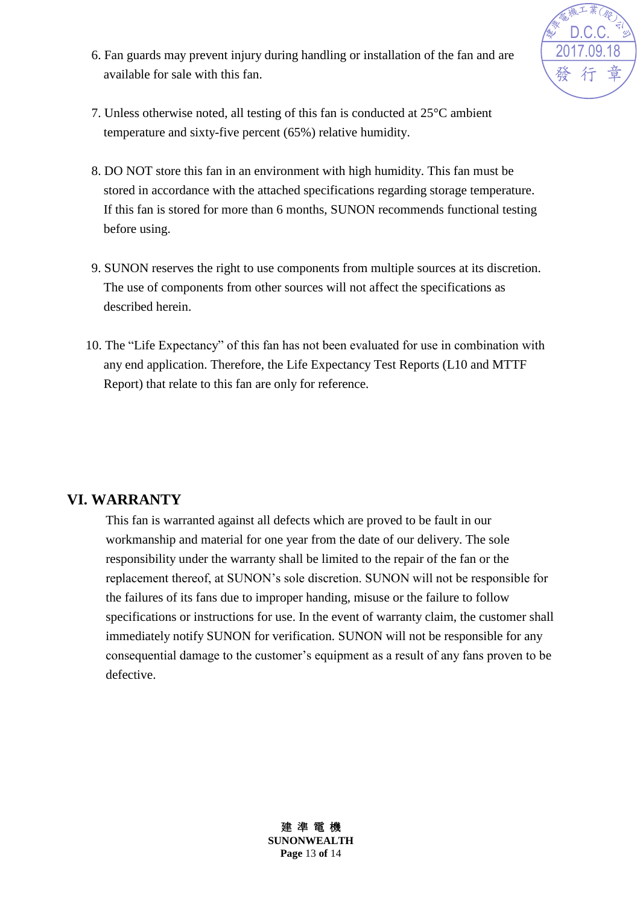

- 6. Fan guards may prevent injury during handling or installation of the fan and are available for sale with this fan.
- 7. Unless otherwise noted, all testing of this fan is conducted at 25°C ambient temperature and sixty-five percent (65%) relative humidity.
- 8. DO NOT store this fan in an environment with high humidity. This fan must be stored in accordance with the attached specifications regarding storage temperature. If this fan is stored for more than 6 months, SUNON recommends functional testing before using.
- 9. SUNON reserves the right to use components from multiple sources at its discretion. The use of components from other sources will not affect the specifications as described herein.
- 10. The "Life Expectancy" of this fan has not been evaluated for use in combination with any end application. Therefore, the Life Expectancy Test Reports (L10 and MTTF Report) that relate to this fan are only for reference.

#### **VI. WARRANTY**

This fan is warranted against all defects which are proved to be fault in our workmanship and material for one year from the date of our delivery. The sole responsibility under the warranty shall be limited to the repair of the fan or the replacement thereof, at SUNON's sole discretion. SUNON will not be responsible for the failures of its fans due to improper handing, misuse or the failure to follow specifications or instructions for use. In the event of warranty claim, the customer shall immediately notify SUNON for verification. SUNON will not be responsible for any consequential damage to the customer's equipment as a result of any fans proven to be defective.